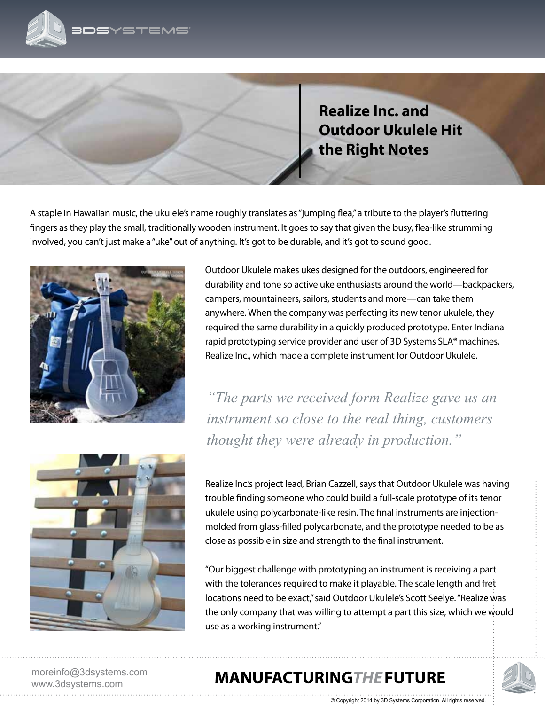

**Realize Inc. and Outdoor Ukulele Hit the Right Notes**

A staple in Hawaiian music, the ukulele's name roughly translates as "jumping flea," a tribute to the player's fluttering fingers as they play the small, traditionally wooden instrument. It goes to say that given the busy, flea-like strumming involved, you can't just make a "uke" out of anything. It's got to be durable, and it's got to sound good.



Outdoor Ukulele makes ukes designed for the outdoors, engineered for durability and tone so active uke enthusiasts around the world—backpackers, campers, mountaineers, sailors, students and more—can take them anywhere. When the company was perfecting its new tenor ukulele, they required the same durability in a quickly produced prototype. Enter Indiana rapid prototyping service provider and user of 3D Systems SLA**®** machines, Realize Inc., which made a complete instrument for Outdoor Ukulele.

*"The parts we received form Realize gave us an instrument so close to the real thing, customers thought they were already in production."* 



Realize Inc.'s project lead, Brian Cazzell, says that Outdoor Ukulele was having trouble finding someone who could build a full-scale prototype of its tenor ukulele using polycarbonate-like resin. The final instruments are injectionmolded from glass-filled polycarbonate, and the prototype needed to be as close as possible in size and strength to the final instrument.

"Our biggest challenge with prototyping an instrument is receiving a part with the tolerances required to make it playable. The scale length and fret locations need to be exact," said Outdoor Ukulele's Scott Seelye. "Realize was the only company that was willing to attempt a part this size, which we would use as a working instrument."

© Copyright 2014 by 3D Systems Corporation. All rights reserved.

moreinfo@3dsystems.com www.3dsystems.com

## **MANUFACTURING THE FUTURE**